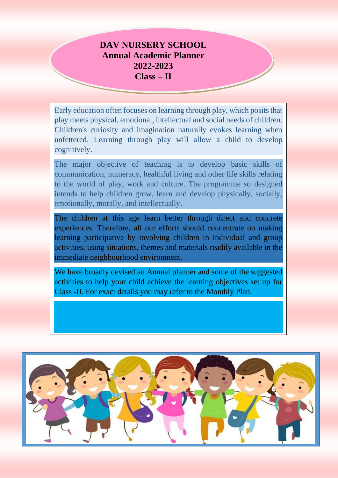# **DAV NURSERY SCHOOL Annual Academic Planner 2022-2023 Class – II**

Early education often focuses on learning through play, which posits that play meets physical, emotional, intellectual and social needs of children. Children's curiosity and imagination naturally evokes learning when unfettered. Learning through play will allow a child to develop cognitively.

The major objective of teaching is to develop basic skills of communication, numeracy, healthful living and other life skills relating to the world of play, work and culture. The programme so designed intends to help children grow, learn and develop physically, socially, emotionally, morally, and intellectually.

The children at this age learn better through direct and concrete experiences. Therefore, all our efforts should concentrate on making learning participative by involving children in individual and group activities, using situations, themes and materials readily available in the immediate neighbourhood environment.

We have broadly devised an Annual planner and some of the suggested activities to help your child achieve the learning objectives set up for Class -II. For exact details you may refer to the Monthly Plan.

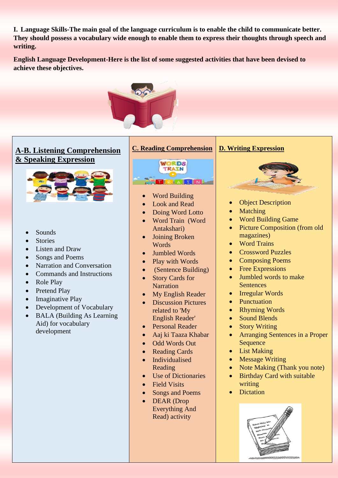**I. Language Skills-The main goal of the language curriculum is to enable the child to communicate better. They should possess a vocabulary wide enough to enable them to express their thoughts through speech and writing.**

**English Language Development-Here is the list of some suggested activities that have been devised to achieve these objectives.**



# **A-B. Listening Comprehension & Speaking Expression**



- Sounds
- **Stories**
- Listen and Draw
- Songs and Poems
- Narration and Conversation
- Commands and Instructions
- Role Play
- Pretend Play
- Imaginative Play
- Development of Vocabulary
- BALA (Building As Learning Aid) for vocabulary development



- Word Building
- Look and Read
- Doing Word Lotto
- Word Train (Word Antakshari)
- Joining Broken Words
- Jumbled Words
- Play with Words
- (Sentence Building)
- Story Cards for **Narration**
- My English Reader
- Discussion Pictures related to 'My English Reader'
- Personal Reader
- Aaj ki Taaza Khabar
- Odd Words Out
- Reading Cards
- Individualised Reading
- Use of Dictionaries
- Field Visits
- Songs and Poems
- DEAR (Drop Everything And Read) activity

### **D. Writing Expression**



- Object Description
- Matching
- Word Building Game
- Picture Composition (from old magazines)
- Word Trains
- Crossword Puzzles
- Composing Poems
- Free Expressions
- Jumbled words to make **Sentences**
- Irregular Words
- Punctuation
- Rhyming Words
- Sound Blends
- Story Writing
- Arranging Sentences in a Proper **Sequence**
- List Making
- Message Writing
- Note Making (Thank you note)
- Birthday Card with suitable writing
- **Dictation**

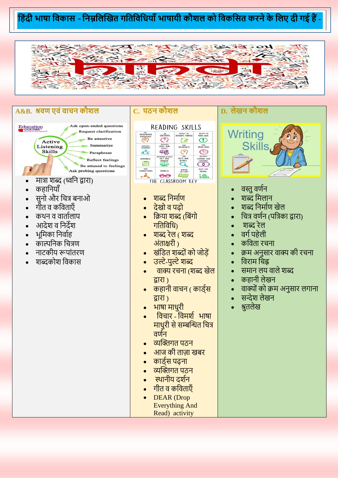#### **ह ंदी भाषा हवकास** -**हनम्नहलखखत गहतहवहिया ाँभाषायी कौशल को हवकहसत करनेके हलए दी गई ैं-**



#### **A&B. श्रवण एवंवाचन कौशल**



- कहानियाँ
- सनो और चित्र बनाओ
- गीत व कनवताएाँ
- कथन व वार्तालाप
- आदेश व निदेश
- भूमिका निर्वाह
- काल्पनिक नित्रण
- िाटकीय रूपाांतरण
- शब्दकोश नवकास

## **C. पठन कौशल**

| uss<br><b>BACKGROUND</b><br>KNOWLEDGE | ASK<br>QUESTIONS                                      | <b>IDENTIFY THE</b><br><b>AUTHOR'S PURPOSE</b> | <b>IDENTIFY THE</b><br>MAIN IDEA |
|---------------------------------------|-------------------------------------------------------|------------------------------------------------|----------------------------------|
| <b>RECOGNITE</b><br>SEQUENCE          | <b>RECOGNITE</b><br><b>CAUSE AND</b><br><b>FFFFCT</b> | MAKE<br><b>INFERENCES</b>                      | MAKE<br><b>PREDICTIONS</b>       |
| SUMMARI7E                             | <b>DISTINGUISH INTWEEN</b>                            | <b>TIND</b>                                    | <b>RECOGNITE</b>                 |
|                                       | <b>FACT AND</b>                                       | <b>FACTS AND</b>                               | <b>COMPARE AND</b>               |
|                                       | <b>OPINION</b>                                        | <b>DETAILS</b>                                 | CONTRAST                         |
| MAKE                                  | <b>VISUALIZE</b>                                      | <b>REREAD</b>                                  | <b>ADJUST YOUR</b>               |
| <b>CONNECTIONS</b>                    |                                                       | FOR CLARITY                                    | <b>PACING</b>                    |

# • शब्द निमााण

- देखो व पढ़ो
- क्रिया शब्द (बिंगो गनतनवनि)
- शब्द रेल ( शब्द अांताक्षरी )
- खांनित शब्दोांको जोड़ें
- उल्टे-पुल्टे शब्द
- <u>वाक्य रचना (शब्द खेल</u> द्वारा )
- <u>कहानी वाचन ( कार्डस</u> द्वारा )
- भाषा मािुरी
- नविार नवमशा भाषा माधरी से सम्बन्धित चित्र वर्णन
- व्यन्धिगत पठि
- आज की ताज़ा खबर
- कार्डस पढना
- व्यक्तिगत पठन
- स्थानीय दर्शन
- गीत व कनवताएाँ
- DEAR (Drop Everything And Read) activity

## **D. लेखन कौशल**



- वस्तु वर्णन
- शब्द मिलान
- शब्द निमााण खेल
- नित्र वणाि (पनत्रका द्वारा)
- शब्द रेल
- वगापहेली
- कविता रचना
- क्रम अनुसार वाक्य की रचना
- नवराम निह्न
- समान लय वाले शब्द
- कहानी लेखन
- वाक्यों को क्रम अनुसार लगाना
- सन्देश लेखन
- श्रुतलेख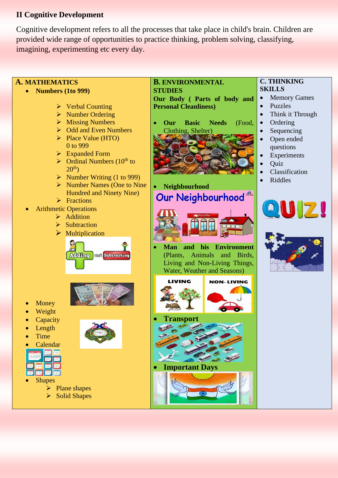## **II Cognitive Development**

Cognitive development refers to all the processes that take place in child's brain. Children are provided wide range of opportunities to practice thinking, problem solving, classifying, imagining, experimenting etc every day.

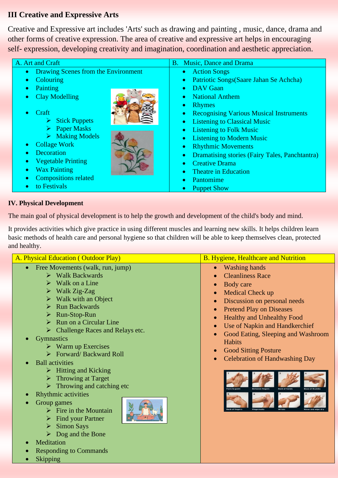# **III Creative and Expressive Arts**

Creative and Expressive art includes 'Arts' such as drawing and painting , music, dance, drama and other forms of creative expression. The area of creative and expressive art helps in encouraging self- expression, developing creativity and imagination, coordination and aesthetic appreciation.

| A. Art and Craft                         | B. Music, Dance and Drama                                   |  |
|------------------------------------------|-------------------------------------------------------------|--|
| Drawing Scenes from the Environment<br>۰ | • Action Songs                                              |  |
| <b>Colouring</b>                         | Patriotic Songs (Saare Jahan Se Achcha)                     |  |
| ٠                                        | $\bullet$                                                   |  |
| Painting                                 | <b>DAV</b> Gaan                                             |  |
| ٠                                        | $\bullet$                                                   |  |
| <b>Clay Modelling</b>                    | National Anthem                                             |  |
| ۰                                        | $\bullet$                                                   |  |
|                                          | <b>Rhymes</b><br>۰                                          |  |
| $\bullet$ Craft                          | <b>Recognising Various Musical Instruments</b><br>$\bullet$ |  |
| $\triangleright$ Stick Puppets           | <b>Listening to Classical Music</b><br>$\bullet$            |  |
| $\triangleright$ Paper Masks             | <b>Listening to Folk Music</b><br>$\bullet$                 |  |
| $\triangleright$ Making Models           | <b>Listening to Modern Music</b><br>$\bullet$               |  |
| <b>Collage Work</b>                      | <b>Rhythmic Movements</b>                                   |  |
| ۰                                        | $\bullet$                                                   |  |
| Decoration                               | <b>Dramatising stories (Fairy Tales, Panchtantra)</b>       |  |
| $\bullet$                                | $\bullet$                                                   |  |
| <b>Vegetable Printing</b>                | <b>Creative Drama</b>                                       |  |
| ۰                                        | $\bullet$                                                   |  |
| <b>Wax Painting</b>                      | <b>Theatre in Education</b>                                 |  |
| $\bullet$                                | $\bullet$                                                   |  |
| <b>Compositions related</b>              | Pantomime                                                   |  |
| ۰                                        | $\bullet$                                                   |  |
| to Festivals                             | <b>Puppet Show</b>                                          |  |
| $\bullet$                                | $\bullet$                                                   |  |

### **IV. Physical Development**

The main goal of physical development is to help the growth and development of the child's body and mind.

It provides activities which give practice in using different muscles and learning new skills. It helps children learn basic methods of health care and personal hygiene so that children will be able to keep themselves clean, protected and healthy.

| A. Physical Education (Outdoor Play)                                                                                                                                                                                                                                                                                                                                                                                                                                                                                                                                                                                                                                                                                                                                                                                                             | <b>B.</b> Hygiene, Healthcare and Nutrition                                                                                                                                                                                                                                                                                                                                               |
|--------------------------------------------------------------------------------------------------------------------------------------------------------------------------------------------------------------------------------------------------------------------------------------------------------------------------------------------------------------------------------------------------------------------------------------------------------------------------------------------------------------------------------------------------------------------------------------------------------------------------------------------------------------------------------------------------------------------------------------------------------------------------------------------------------------------------------------------------|-------------------------------------------------------------------------------------------------------------------------------------------------------------------------------------------------------------------------------------------------------------------------------------------------------------------------------------------------------------------------------------------|
| Free Movements (walk, run, jump)<br>$\triangleright$ Walk Backwards<br>Walk on a Line<br>$\triangleright$<br>$\triangleright$ Walk Zig-Zag<br>$\triangleright$ Walk with an Object<br><b>Run Backwards</b><br>$\triangleright$ Run-Stop-Run<br>$\triangleright$ Run on a Circular Line<br>$\triangleright$ Challenge Races and Relays etc.<br><b>Gymnastics</b><br>$\triangleright$ Warm up Exercises<br>$\triangleright$ Forward/Backward Roll<br><b>Ball</b> activities<br>$\triangleright$ Hitting and Kicking<br>$\triangleright$ Throwing at Target<br>$\triangleright$ Throwing and catching etc<br>Rhythmic activities<br>Group games<br>Fire in the Mountain<br><b>Find your Partner</b><br><b>Simon Says</b><br>$\triangleright$<br>$\triangleright$ Dog and the Bone<br>Meditation<br><b>Responding to Commands</b><br><b>Skipping</b> | <b>Washing hands</b><br><b>Cleanliness Race</b><br>Body care<br>Medical Check up<br>Discussion on personal needs<br><b>Pretend Play on Diseases</b><br>$\bullet$<br><b>Healthy and Unhealthy Food</b><br>Use of Napkin and Handkerchief<br>Good Eating, Sleeping and Washroom<br>$\bullet$<br>Habits<br><b>Good Sitting Posture</b><br>$\bullet$<br><b>Celebration of Handwashing Day</b> |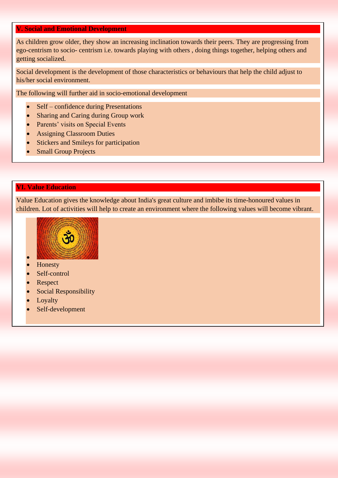#### **V. Social and Emotional Development**

As children grow older, they show an increasing inclination towards their peers. They are progressing from ego-centrism to socio- centrism i.e. towards playing with others , doing things together, helping others and getting socialized.

Social development is the development of those characteristics or behaviours that help the child adjust to his/her social environment.

The following will further aid in socio-emotional development

- Self confidence during Presentations
- Sharing and Caring during Group work
- Parents' visits on Special Events
- Assigning Classroom Duties
- Stickers and Smileys for participation
- **Small Group Projects**

#### **VI. Value Education**

Value Education gives the knowledge about India's great culture and imbibe its time-honoured values in children. Lot of activities will help to create an environment where the following values will become vibrant.



**Honesty** 

•

- Self-control
- **Respect**
- **Social Responsibility**
- **Loyalty**
- Self-development